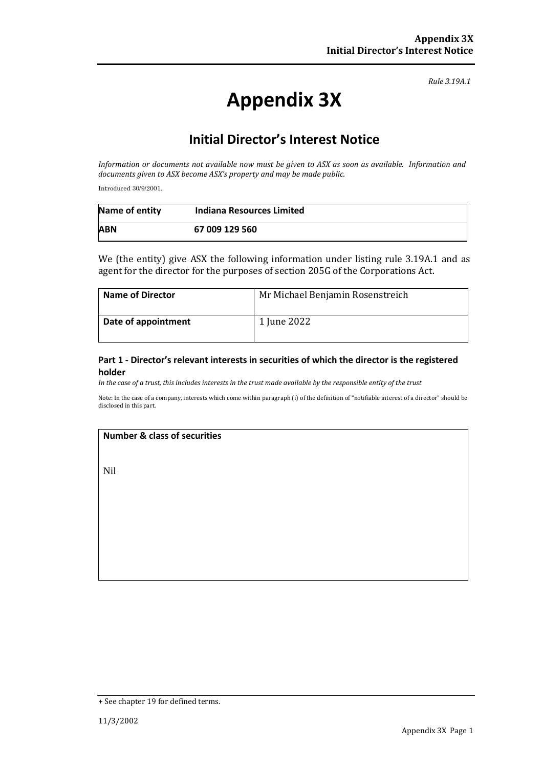*Rule 3.19A.1*

# **Appendix 3X**

## **Initial Director's Interest Notice**

*Information or documents not available now must be given to ASX as soon as available. Information and documents given to ASX become ASX's property and may be made public.*

Introduced 30/9/2001.

| Name of entity | Indiana Resources Limited |
|----------------|---------------------------|
| <b>ABN</b>     | 67 009 129 560            |

We (the entity) give ASX the following information under listing rule 3.19A.1 and as agent for the director for the purposes of section 205G of the Corporations Act.

| <b>Name of Director</b> | Mr Michael Benjamin Rosenstreich |
|-------------------------|----------------------------------|
| Date of appointment     | 1 June 2022                      |

#### **Part 1 - Director's relevant interests in securities of which the director is the registered holder**

*In the case of a trust, this includes interests in the trust made available by the responsible entity of the trust*

Note: In the case of a company, interests which come within paragraph (i) of the definition of "notifiable interest of a director" should be disclosed in this part.

#### **Number & class of securities**

Nil

<sup>+</sup> See chapter 19 for defined terms.